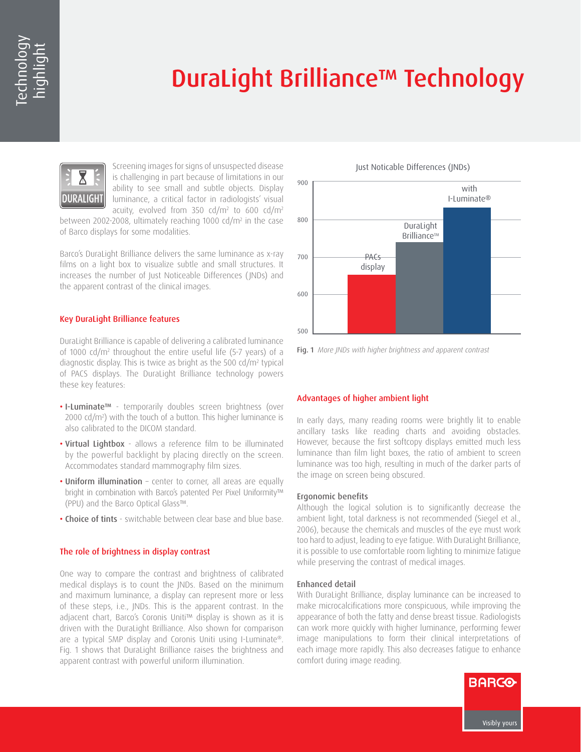# DuraLight Brilliance™ Technology



Screening images for signs of unsuspected disease is challenging in part because of limitations in our ability to see small and subtle objects. Display luminance, a critical factor in radiologists' visual acuity, evolved from 350 cd/m2 to 600 cd/m2

between 2002-2008, ultimately reaching 1000 cd/m2 in the case of Barco displays for some modalities.

Barco's DuraLight Brilliance delivers the same luminance as x-ray films on a light box to visualize subtle and small structures. It increases the number of Just Noticeable Differences (JNDs) and the apparent contrast of the clinical images.

# Key DuraLight Brilliance features

DuraLight Brilliance is capable of delivering a calibrated luminance of 1000 cd/m2 throughout the entire useful life (5-7 years) of a diagnostic display. This is twice as bright as the 500 cd/m2 typical of PACS displays. The DuraLight Brilliance technology powers these key features:

- I-Luminate™ temporarily doubles screen brightness (over 2000 cd/m2 ) with the touch of a button. This higher luminance is also calibrated to the DICOM standard.
- Virtual Lightbox allows a reference film to be illuminated by the powerful backlight by placing directly on the screen. Accommodates standard mammography film sizes.
- Uniform illumination center to corner, all areas are equally bright in combination with Barco's patented Per Pixel Uniformity™ (PPU) and the Barco Optical Glass™.
- Choice of tints switchable between clear base and blue base.

## The role of brightness in display contrast

One way to compare the contrast and brightness of calibrated medical displays is to count the JNDs. Based on the minimum and maximum luminance, a display can represent more or less of these steps, i.e., JNDs. This is the apparent contrast. In the adjacent chart, Barco's Coronis Uniti™ display is shown as it is driven with the DuraLight Brilliance. Also shown for comparison are a typical 5MP display and Coronis Uniti using I-Luminate®. Fig. 1 shows that DuraLight Brilliance raises the brightness and apparent contrast with powerful uniform illumination.



Fig. 1 *More JNDs with higher brightness and apparent contrast*

## Advantages of higher ambient light

In early days, many reading rooms were brightly lit to enable ancillary tasks like reading charts and avoiding obstacles. However, because the first softcopy displays emitted much less luminance than film light boxes, the ratio of ambient to screen luminance was too high, resulting in much of the darker parts of the image on screen being obscured.

#### Ergonomic benefits

Although the logical solution is to significantly decrease the ambient light, total darkness is not recommended (Siegel et al., 2006), because the chemicals and muscles of the eye must work too hard to adjust, leading to eye fatigue. With DuraLight Brilliance, it is possible to use comfortable room lighting to minimize fatigue while preserving the contrast of medical images.

#### Enhanced detail

With DuraLight Brilliance, display luminance can be increased to make microcalcifications more conspicuous, while improving the appearance of both the fatty and dense breast tissue. Radiologists can work more quickly with higher luminance, performing fewer image manipulations to form their clinical interpretations of each image more rapidly. This also decreases fatigue to enhance comfort during image reading.